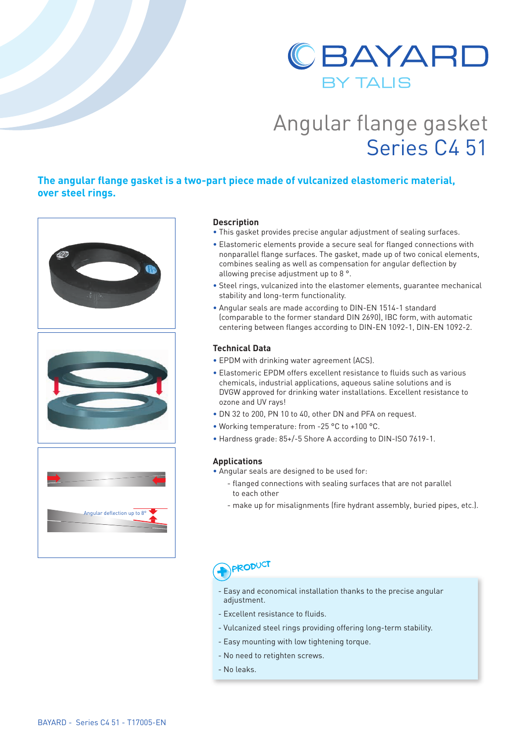

# Angular flange gasket Series C4 51

## **The angular flange gasket is a two-part piece made of vulcanized elastomeric material, over steel rings.**



### **Description**

- This gasket provides precise angular adjustment of sealing surfaces.
- Elastomeric elements provide a secure seal for flanged connections with nonparallel flange surfaces. The gasket, made up of two conical elements, combines sealing as well as compensation for angular deflection by allowing precise adjustment up to 8 °.
- Steel rings, vulcanized into the elastomer elements, guarantee mechanical stability and long-term functionality.
- Angular seals are made according to DIN-EN 1514-1 standard (comparable to the former standard DIN 2690), IBC form, with automatic centering between flanges according to DIN-EN 1092-1, DIN-EN 1092-2.

### **Technical Data**

- EPDM with drinking water agreement (ACS).
- Elastomeric EPDM offers excellent resistance to fluids such as various chemicals, industrial applications, aqueous saline solutions and is DVGW approved for drinking water installations. Excellent resistance to ozone and UV rays!
- DN 32 to 200, PN 10 to 40, other DN and PFA on request.
- Working temperature: from -25 °C to +100 °C.
- Hardness grade: 85+/-5 Shore A according to DIN-ISO 7619-1.

#### **Applications**

- Angular seals are designed to be used for:
	- flanged connections with sealing surfaces that are not parallel to each other
	- make up for misalignments (fire hydrant assembly, buried pipes, etc.).

# **PRODUCT**

- Easy and economical installation thanks to the precise angular adjustment.
- Excellent resistance to fluids.
- Vulcanized steel rings providing offering long-term stability.
- Easy mounting with low tightening torque.
- No need to retighten screws.
- No leaks.